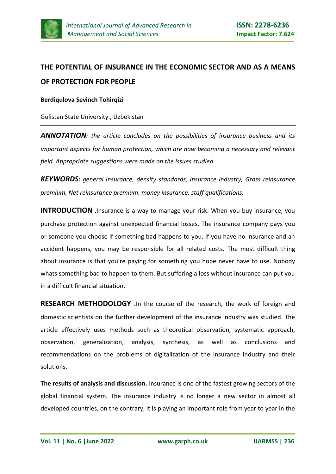

# **THE POTENTIAL OF INSURANCE IN THE ECONOMIC SECTOR AND AS A MEANS OF PROTECTION FOR PEOPLE**

# **Berdiqulova Sevinch Tohirqizi**

Gulistan State University., Uzbekistan

*ANNOTATION: the article concludes on the possibilities of insurance business and its important aspects for human protection, which are now becoming a necessary and relevant field. Appropriate suggestions were made on the issues studied*

*KEYWORDS: general insurance, density standards, insurance industry, Gross reinsurance premium, Net reinsurance premium, money insurance, staff qualifications.*

**INTRODUCTION** .Insurance is a way to manage your risk. When you buy insurance, you purchase protection against unexpected financial losses. The insurance company pays you or someone you choose if something bad happens to you. If you have no insurance and an accident happens, you may be responsible for all related costs. The most difficult thing about insurance is that you're paying for something you hope never have to use. Nobody whats something bad to happen to them. But suffering a loss without insurance can put you in a difficult financial situation.

**RESEARCH METHODOLOGY .**In the course of the research, the work of foreign and domestic scientists on the further development of the insurance industry was studied. The article effectively uses methods such as theoretical observation, systematic approach, observation, generalization, analysis, synthesis, as well as conclusions and recommendations on the problems of digitalization of the insurance industry and their solutions.

**The results of analysis and discussion.** Insurance is one of the fastest growing sectors of the global financial system. The insurance industry is no longer a new sector in almost all developed countries, on the contrary, it is playing an important role from year to year in the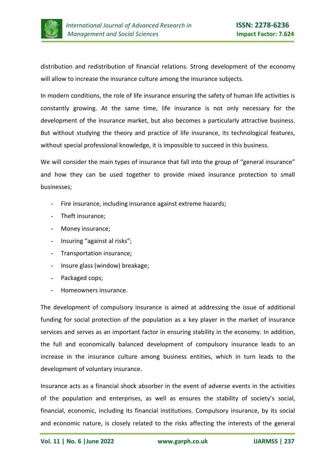

distribution and redistribution of financial relations. Strong development of the economy will allow to increase the insurance culture among the insurance subjects.

In modern conditions, the role of life insurance ensuring the safety of human life activities is constantly growing. At the same time, life insurance is not only necessary for the development of the insurance market, but also becomes a particularly attractive business. But without studying the theory and practice of life insurance, its technological features, without special professional knowledge, it is impossible to succeed in this business.

We will consider the main types of insurance that fall into the group of "general insurance" and how they can be used together to provide mixed insurance protection to small businesses;

- Fire insurance, including insurance against extreme hazards;
- Theft insurance;
- Money insurance;
- Insuring "against al risks";
- Transportation insurance;
- Insure glass (window) breakage;
- Packaged cops;
- Homeowners insurance.

The development of compulsory insurance is aimed at addressing the issue of additional funding for social protection of the population as a key player in the market of insurance services and serves as an important factor in ensuring stability in the economy. In addition, the full and economically balanced development of compulsory insurance leads to an increase in the insurance culture among business entities, which in turn leads to the development of voluntary insurance.

Insurance acts as a financial shock absorber in the event of adverse events in the activities of the population and enterprises, as well as ensures the stability of society's social, financial, economic, including its financial institutions. Compulsory insurance, by its social and economic nature, is closely related to the risks affecting the interests of the general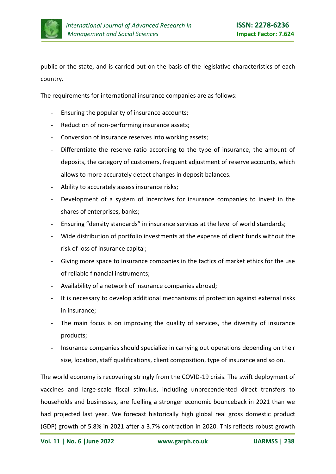

public or the state, and is carried out on the basis of the legislative characteristics of each country.

The requirements for international insurance companies are as follows:

- Ensuring the popularity of insurance accounts;
- Reduction of non-performing insurance assets;
- Conversion of insurance reserves into working assets;
- Differentiate the reserve ratio according to the type of insurance, the amount of deposits, the category of customers, frequent adjustment of reserve accounts, which allows to more accurately detect changes in deposit balances.
- Ability to accurately assess insurance risks;
- Development of a system of incentives for insurance companies to invest in the shares of enterprises, banks;
- Ensuring "density standards" in insurance services at the level of world standards;
- Wide distribution of portfolio investments at the expense of client funds without the risk of loss of insurance capital;
- Giving more space to insurance companies in the tactics of market ethics for the use of reliable financial instruments;
- Availability of a network of insurance companies abroad;
- It is necessary to develop additional mechanisms of protection against external risks in insurance;
- The main focus is on improving the quality of services, the diversity of insurance products;
- Insurance companies should specialize in carrying out operations depending on their size, location, staff qualifications, client composition, type of insurance and so on.

The world economy is recovering stringly from the COVID-19 crisis. The swift deployment of vaccines and large-scale fiscal stimulus, including unprecendented direct transfers to households and businesses, are fuelling a stronger economic bounceback in 2021 than we had projected last year. We forecast historically high global real gross domestic product (GDP) growth of 5.8% in 2021 after a 3.7% contraction in 2020. This reflects robust growth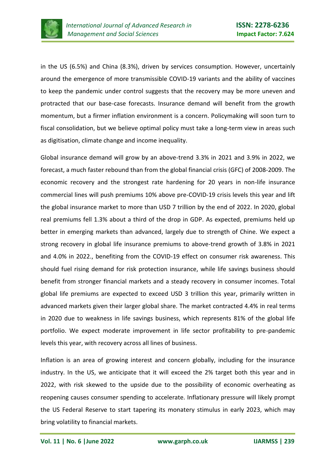

in the US (6.5%) and China (8.3%), driven by services consumption. However, uncertainly around the emergence of more transmissible COVID-19 variants and the ability of vaccines to keep the pandemic under control suggests that the recovery may be more uneven and protracted that our base-case forecasts. Insurance demand will benefit from the growth momentum, but a firmer inflation environment is a concern. Policymaking will soon turn to fiscal consolidation, but we believe optimal policy must take a long-term view in areas such as digitisation, climate change and income inequality.

Global insurance demand will grow by an above-trend 3.3% in 2021 and 3.9% in 2022, we forecast, a much faster rebound than from the global financial crisis (GFC) of 2008-2009. The economic recovery and the strongest rate hardening for 20 years in non-life insurance commercial lines will push premiums 10% above pre-COVID-19 crisis levels this year and lift the global insurance market to more than USD 7 trillion by the end of 2022. In 2020, global real premiums fell 1.3% about a third of the drop in GDP. As expected, premiums held up better in emerging markets than advanced, largely due to strength of Chine. We expect a strong recovery in global life insurance premiums to above-trend growth of 3.8% in 2021 and 4.0% in 2022., benefiting from the COVID-19 effect on consumer risk awareness. This should fuel rising demand for risk protection insurance, while life savings business should benefit from stronger financial markets and a steady recovery in consumer incomes. Total global life premiums are expected to exceed USD 3 trillion this year, primarily written in advanced markets given their larger global share. The market contracted 4.4% in real terms in 2020 due to weakness in life savings business, which represents 81% of the global life portfolio. We expect moderate improvement in life sector profitability to pre-pandemic levels this year, with recovery across all lines of business.

Inflation is an area of growing interest and concern globally, including for the insurance industry. In the US, we anticipate that it will exceed the 2% target both this year and in 2022, with risk skewed to the upside due to the possibility of economic overheating as reopening causes consumer spending to accelerate. Inflationary pressure will likely prompt the US Federal Reserve to start tapering its monatery stimulus in early 2023, which may bring volatility to financial markets.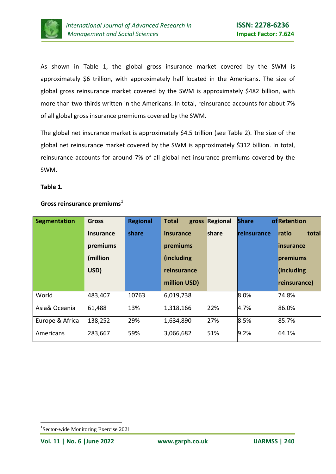

As shown in Table 1, the global gross insurance market covered by the SWM is approximately \$6 trillion, with approximately half located in the Americans. The size of global gross reinsurance market covered by the SWM is approximately \$482 billion, with more than two-thirds written in the Americans. In total, reinsurance accounts for about 7% of all global gross insurance premiums covered by the SWM.

The global net insurance market is approximately \$4.5 trillion (see Table 2). The size of the global net reinsurance market covered by the SWM is approximately \$312 billion. In total, reinsurance accounts for around 7% of all global net insurance premiums covered by the SWM.

#### **Table 1.**

| <b>Segmentation</b> | <b>Gross</b> | <b>Regional</b> | <b>Total</b><br>gross | Regional      | <b>Share</b>       | ofRetention           |
|---------------------|--------------|-----------------|-----------------------|---------------|--------------------|-----------------------|
|                     | insurance    | share           | insurance             | <b>Ishare</b> | <b>reinsurance</b> | total<br><b>ratio</b> |
|                     | premiums     |                 | premiums              |               |                    | linsurance            |
|                     | (million     |                 | (including)           |               |                    | premiums              |
|                     | USD)         |                 | reinsurance           |               |                    | $\int$ (including     |
|                     |              |                 | million USD)          |               |                    | reinsurance)          |
| World               | 483,407      | 10763           | 6,019,738             |               | 8.0%               | 74.8%                 |
| Asia& Oceania       | 61,488       | 13%             | 1,318,166             | 22%           | 4.7%               | 86.0%                 |
| Europe & Africa     | 138,252      | 29%             | 1,634,890             | 27%           | 8.5%               | 85.7%                 |
| Americans           | 283,667      | 59%             | 3,066,682             | 51%           | 9.2%               | 64.1%                 |

# **Gross reinsurance premiums<sup>1</sup>**

<sup>-</sup>1 Sector-wide Monitoring Exercise 2021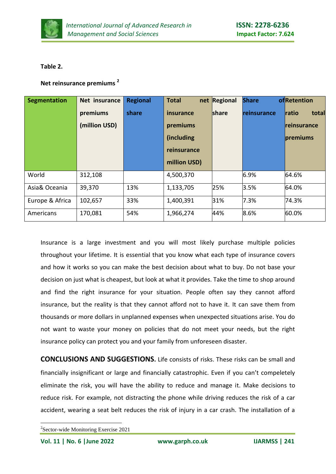

# **Table 2.**

# **Net reinsurance premiums <sup>2</sup>**

| <b>Segmentation</b> | Net insurance | <b>Regional</b> | <b>Total</b><br>net | Regional | <b>Share</b> | ofRetention    |
|---------------------|---------------|-----------------|---------------------|----------|--------------|----------------|
|                     | premiums      | share           | insurance           | share    | reinsurance  | ratio<br>total |
|                     | (million USD) |                 | premiums            |          |              | reinsurance    |
|                     |               |                 | (including)         |          |              | premiums       |
|                     |               |                 | reinsurance         |          |              |                |
|                     |               |                 | million USD)        |          |              |                |
| World               | 312,108       |                 | 4,500,370           |          | 6.9%         | 64.6%          |
| Asia& Oceania       | 39,370        | 13%             | 1,133,705           | 25%      | 3.5%         | 64.0%          |
| Europe & Africa     | 102,657       | 33%             | 1,400,391           | 31%      | 7.3%         | 74.3%          |
| Americans           | 170,081       | 54%             | 1,966,274           | 44%      | 8.6%         | 60.0%          |

Insurance is a large investment and you will most likely purchase multiple policies throughout your lifetime. It is essential that you know what each type of insurance covers and how it works so you can make the best decision about what to buy. Do not base your decision on just what is cheapest, but look at what it provides. Take the time to shop around and find the right insurance for your situation. People often say they cannot afford insurance, but the reality is that they cannot afford not to have it. It can save them from thousands or more dollars in unplanned expenses when unexpected situations arise. You do not want to waste your money on policies that do not meet your needs, but the right insurance policy can protect you and your family from unforeseen disaster.

**CONCLUSIONS AND SUGGESTIONS.** Life consists of risks. These risks can be small and financially insignificant or large and financially catastrophic. Even if you can't compeletely eliminate the risk, you will have the ability to reduce and manage it. Make decisions to reduce risk. For example, not distracting the phone while driving reduces the risk of a car accident, wearing a seat belt reduces the risk of injury in a car crash. The installation of a

-

<sup>&</sup>lt;sup>2</sup>Sector-wide Monitoring Exercise 2021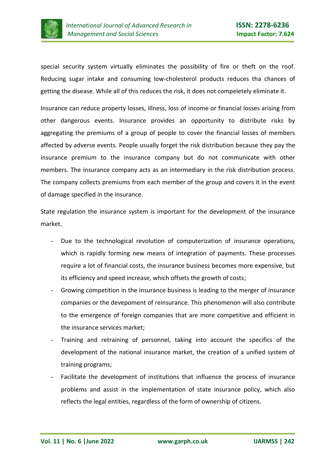

special security system virtually eliminates the possibility of fire or theft on the roof. Reducing sugar intake and consuming low-cholesterol products reduces tha chances of getting the disease. While all of this reduces the risk, it does not compeletely eliminate it.

Insurance can reduce property losses, illness, loss of income or financial losses arising from other dangerous events. Insurance provides an opportunity to distribute risks by aggregating the premiums of a group of people to cover the financial losses of members affected by adverse events. People usually forget the risk distribution because they pay the insurance premium to the insurance company but do not communicate with other members. The insurance company acts as an intermediary in the risk distribution process. The company collects premiums from each member of the group and covers it in the event of damage specified in the insurance.

State regulation the insurance system is important for the development of the insurance market.

- Due to the technological revolution of computerization of insurance operations, which is rapidly forming new means of integration of payments. These processes require a lot of financial costs, the insurance business becomes more expensive, but its efficiency and speed increase, which offsets the growth of costs;
- Growing competition in the insurance business is leading to the merger of insurance companies or the devepoment of reinsurance. This phenomenon will also contribute to the emergence of foreign companies that are more competitive and efficient in the insurance services market;
- Training and retraining of personnel, taking into account the specifics of the development of the national insurance market, the creation of a unified system of training programs;
- Facilitate the development of institutions that influence the process of insurance problems and assist in the implementation of state insurance policy, which also reflects the legal entities, regardless of the form of ownership of citizens.